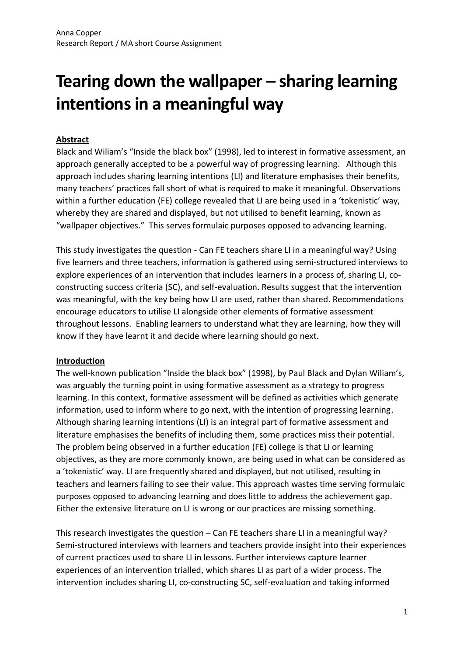# **Tearing down the wallpaper – sharing learning intentions in a meaningful way**

# **Abstract**

Black and Wiliam's "Inside the black box" (1998), led to interest in formative assessment, an approach generally accepted to be a powerful way of progressing learning. Although this approach includes sharing learning intentions (LI) and literature emphasises their benefits, many teachers' practices fall short of what is required to make it meaningful. Observations within a further education (FE) college revealed that LI are being used in a 'tokenistic' way, whereby they are shared and displayed, but not utilised to benefit learning, known as "wallpaper objectives." This serves formulaic purposes opposed to advancing learning.

This study investigates the question - Can FE teachers share LI in a meaningful way? Using five learners and three teachers, information is gathered using semi-structured interviews to explore experiences of an intervention that includes learners in a process of, sharing LI, coconstructing success criteria (SC), and self-evaluation. Results suggest that the intervention was meaningful, with the key being how LI are used, rather than shared. Recommendations encourage educators to utilise LI alongside other elements of formative assessment throughout lessons. Enabling learners to understand what they are learning, how they will know if they have learnt it and decide where learning should go next.

# **Introduction**

The well-known publication "Inside the black box" (1998), by Paul Black and Dylan Wiliam's, was arguably the turning point in using formative assessment as a strategy to progress learning. In this context, formative assessment will be defined as activities which generate information, used to inform where to go next, with the intention of progressing learning. Although sharing learning intentions (LI) is an integral part of formative assessment and literature emphasises the benefits of including them, some practices miss their potential. The problem being observed in a further education (FE) college is that LI or learning objectives, as they are more commonly known, are being used in what can be considered as a 'tokenistic' way. LI are frequently shared and displayed, but not utilised, resulting in teachers and learners failing to see their value. This approach wastes time serving formulaic purposes opposed to advancing learning and does little to address the achievement gap. Either the extensive literature on LI is wrong or our practices are missing something.

This research investigates the question – Can FE teachers share LI in a meaningful way? Semi-structured interviews with learners and teachers provide insight into their experiences of current practices used to share LI in lessons. Further interviews capture learner experiences of an intervention trialled, which shares LI as part of a wider process. The intervention includes sharing LI, co-constructing SC, self-evaluation and taking informed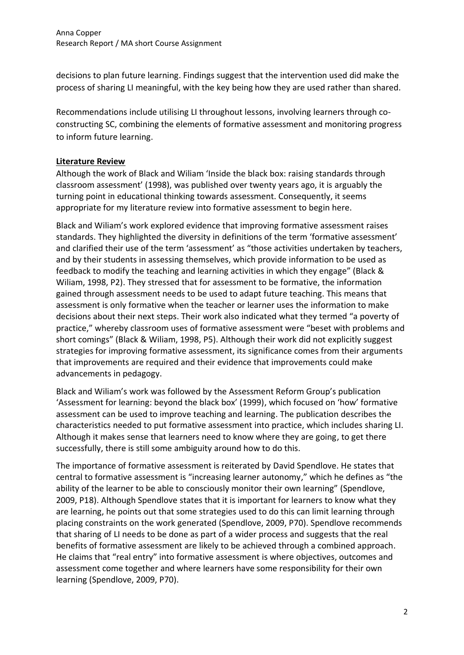decisions to plan future learning. Findings suggest that the intervention used did make the process of sharing LI meaningful, with the key being how they are used rather than shared.

Recommendations include utilising LI throughout lessons, involving learners through coconstructing SC, combining the elements of formative assessment and monitoring progress to inform future learning.

# **Literature Review**

Although the work of Black and Wiliam 'Inside the black box: raising standards through classroom assessment' (1998), was published over twenty years ago, it is arguably the turning point in educational thinking towards assessment. Consequently, it seems appropriate for my literature review into formative assessment to begin here.

Black and Wiliam's work explored evidence that improving formative assessment raises standards. They highlighted the diversity in definitions of the term 'formative assessment' and clarified their use of the term 'assessment' as "those activities undertaken by teachers, and by their students in assessing themselves, which provide information to be used as feedback to modify the teaching and learning activities in which they engage" (Black & Wiliam, 1998, P2). They stressed that for assessment to be formative, the information gained through assessment needs to be used to adapt future teaching. This means that assessment is only formative when the teacher or learner uses the information to make decisions about their next steps. Their work also indicated what they termed "a poverty of practice," whereby classroom uses of formative assessment were "beset with problems and short comings" (Black & Wiliam, 1998, P5). Although their work did not explicitly suggest strategies for improving formative assessment, its significance comes from their arguments that improvements are required and their evidence that improvements could make advancements in pedagogy.

Black and Wiliam's work was followed by the Assessment Reform Group's publication 'Assessment for learning: beyond the black box' (1999), which focused on 'how' formative assessment can be used to improve teaching and learning. The publication describes the characteristics needed to put formative assessment into practice, which includes sharing LI. Although it makes sense that learners need to know where they are going, to get there successfully, there is still some ambiguity around how to do this.

The importance of formative assessment is reiterated by David Spendlove. He states that central to formative assessment is "increasing learner autonomy," which he defines as "the ability of the learner to be able to consciously monitor their own learning" (Spendlove, 2009, P18). Although Spendlove states that it is important for learners to know what they are learning, he points out that some strategies used to do this can limit learning through placing constraints on the work generated (Spendlove, 2009, P70). Spendlove recommends that sharing of LI needs to be done as part of a wider process and suggests that the real benefits of formative assessment are likely to be achieved through a combined approach. He claims that "real entry" into formative assessment is where objectives, outcomes and assessment come together and where learners have some responsibility for their own learning (Spendlove, 2009, P70).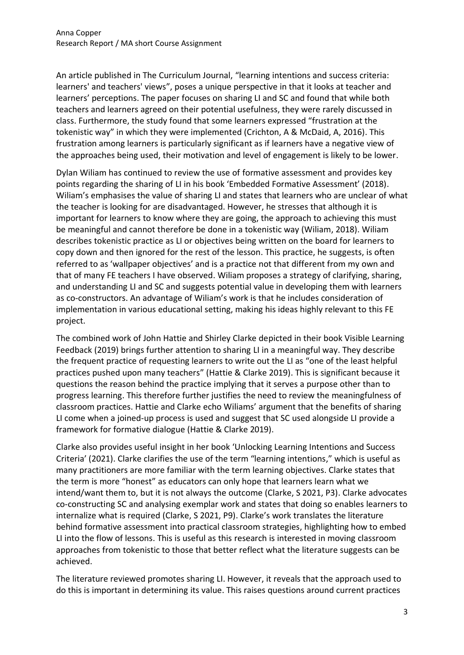An article published in The Curriculum Journal, "learning intentions and success criteria: learners' and teachers' views", poses a unique perspective in that it looks at teacher and learners' perceptions. The paper focuses on sharing LI and SC and found that while both teachers and learners agreed on their potential usefulness, they were rarely discussed in class. Furthermore, the study found that some learners expressed "frustration at the tokenistic way" in which they were implemented (Crichton, A & McDaid, A, 2016). This frustration among learners is particularly significant as if learners have a negative view of the approaches being used, their motivation and level of engagement is likely to be lower.

Dylan Wiliam has continued to review the use of formative assessment and provides key points regarding the sharing of LI in his book 'Embedded Formative Assessment' (2018). Wiliam's emphasises the value of sharing LI and states that learners who are unclear of what the teacher is looking for are disadvantaged. However, he stresses that although it is important for learners to know where they are going, the approach to achieving this must be meaningful and cannot therefore be done in a tokenistic way (Wiliam, 2018). Wiliam describes tokenistic practice as LI or objectives being written on the board for learners to copy down and then ignored for the rest of the lesson. This practice, he suggests, is often referred to as 'wallpaper objectives' and is a practice not that different from my own and that of many FE teachers I have observed. Wiliam proposes a strategy of clarifying, sharing, and understanding LI and SC and suggests potential value in developing them with learners as co-constructors. An advantage of Wiliam's work is that he includes consideration of implementation in various educational setting, making his ideas highly relevant to this FE project.

The combined work of John Hattie and Shirley Clarke depicted in their book Visible Learning Feedback (2019) brings further attention to sharing LI in a meaningful way. They describe the frequent practice of requesting learners to write out the LI as "one of the least helpful practices pushed upon many teachers" (Hattie & Clarke 2019). This is significant because it questions the reason behind the practice implying that it serves a purpose other than to progress learning. This therefore further justifies the need to review the meaningfulness of classroom practices. Hattie and Clarke echo Wiliams' argument that the benefits of sharing LI come when a joined-up process is used and suggest that SC used alongside LI provide a framework for formative dialogue (Hattie & Clarke 2019).

Clarke also provides useful insight in her book 'Unlocking Learning Intentions and Success Criteria' (2021). Clarke clarifies the use of the term "learning intentions," which is useful as many practitioners are more familiar with the term learning objectives. Clarke states that the term is more "honest" as educators can only hope that learners learn what we intend/want them to, but it is not always the outcome (Clarke, S 2021, P3). Clarke advocates co-constructing SC and analysing exemplar work and states that doing so enables learners to internalize what is required (Clarke, S 2021, P9). Clarke's work translates the literature behind formative assessment into practical classroom strategies, highlighting how to embed LI into the flow of lessons. This is useful as this research is interested in moving classroom approaches from tokenistic to those that better reflect what the literature suggests can be achieved.

The literature reviewed promotes sharing LI. However, it reveals that the approach used to do this is important in determining its value. This raises questions around current practices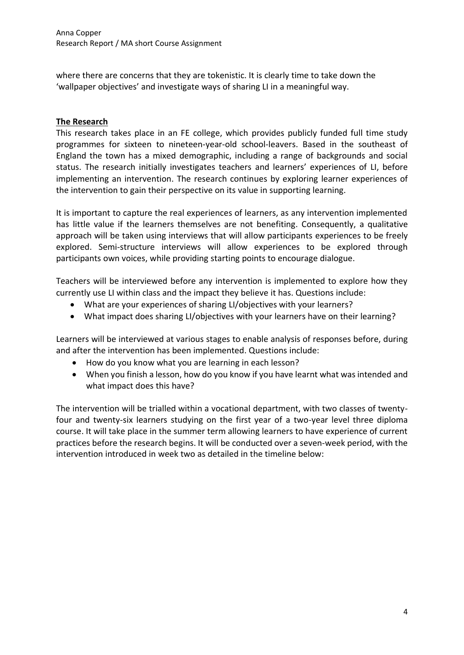where there are concerns that they are tokenistic. It is clearly time to take down the 'wallpaper objectives' and investigate ways of sharing LI in a meaningful way.

# **The Research**

This research takes place in an FE college, which provides publicly funded full time study programmes for sixteen to nineteen-year-old school-leavers. Based in the southeast of England the town has a mixed demographic, including a range of backgrounds and social status. The research initially investigates teachers and learners' experiences of LI, before implementing an intervention. The research continues by exploring learner experiences of the intervention to gain their perspective on its value in supporting learning.

It is important to capture the real experiences of learners, as any intervention implemented has little value if the learners themselves are not benefiting. Consequently, a qualitative approach will be taken using interviews that will allow participants experiences to be freely explored. Semi-structure interviews will allow experiences to be explored through participants own voices, while providing starting points to encourage dialogue.

Teachers will be interviewed before any intervention is implemented to explore how they currently use LI within class and the impact they believe it has. Questions include:

- What are your experiences of sharing LI/objectives with your learners?
- What impact does sharing LI/objectives with your learners have on their learning?

Learners will be interviewed at various stages to enable analysis of responses before, during and after the intervention has been implemented. Questions include:

- How do you know what you are learning in each lesson?
- When you finish a lesson, how do you know if you have learnt what was intended and what impact does this have?

The intervention will be trialled within a vocational department, with two classes of twentyfour and twenty-six learners studying on the first year of a two-year level three diploma course. It will take place in the summer term allowing learners to have experience of current practices before the research begins. It will be conducted over a seven-week period, with the intervention introduced in week two as detailed in the timeline below: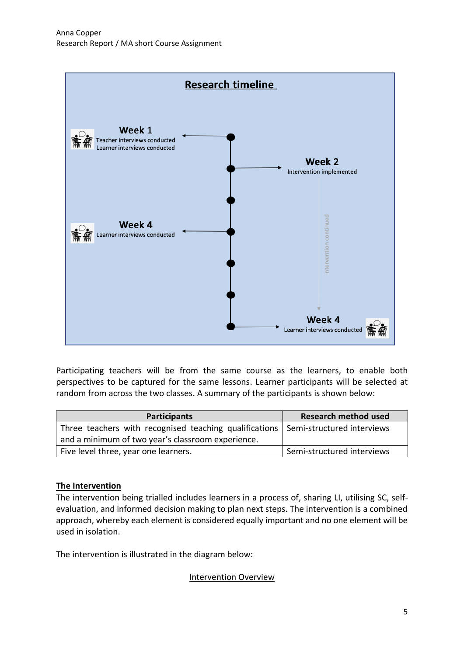

Participating teachers will be from the same course as the learners, to enable both perspectives to be captured for the same lessons. Learner participants will be selected at random from across the two classes. A summary of the participants is shown below:

| <b>Participants</b>                                                                 | <b>Research method used</b> |
|-------------------------------------------------------------------------------------|-----------------------------|
| Three teachers with recognised teaching qualifications   Semi-structured interviews |                             |
| and a minimum of two year's classroom experience.                                   |                             |
| Five level three, year one learners.                                                | Semi-structured interviews  |

#### **The Intervention**

The intervention being trialled includes learners in a process of, sharing LI, utilising SC, selfevaluation, and informed decision making to plan next steps. The intervention is a combined approach, whereby each element is considered equally important and no one element will be used in isolation.

The intervention is illustrated in the diagram below:

#### Intervention Overview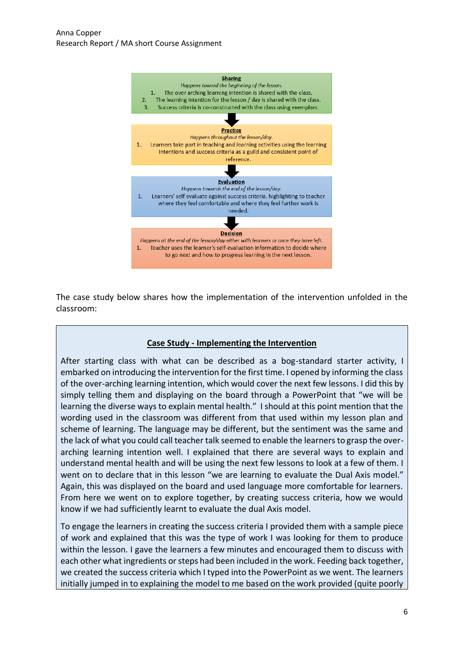

The case study below shares how the implementation of the intervention unfolded in the classroom:

# **Case Study - Implementing the Intervention**

After starting class with what can be described as a bog-standard starter activity, I embarked on introducing the intervention for the first time. I opened by informing the class of the over-arching learning intention, which would cover the next few lessons. I did this by simply telling them and displaying on the board through a PowerPoint that "we will be learning the diverse ways to explain mental health." I should at this point mention that the wording used in the classroom was different from that used within my lesson plan and scheme of learning. The language may be different, but the sentiment was the same and the lack of what you could call teacher talk seemed to enable the learners to grasp the overarching learning intention well. I explained that there are several ways to explain and understand mental health and will be using the next few lessons to look at a few of them. I went on to declare that in this lesson "we are learning to evaluate the Dual Axis model." Again, this was displayed on the board and used language more comfortable for learners. From here we went on to explore together, by creating success criteria, how we would know if we had sufficiently learnt to evaluate the dual Axis model.

To engage the learners in creating the success criteria I provided them with a sample piece of work and explained that this was the type of work I was looking for them to produce within the lesson. I gave the learners a few minutes and encouraged them to discuss with each other what ingredients or steps had been included in the work. Feeding back together, we created the success criteria which I typed into the PowerPoint as we went. The learners initially jumped in to explaining the model to me based on the work provided (quite poorly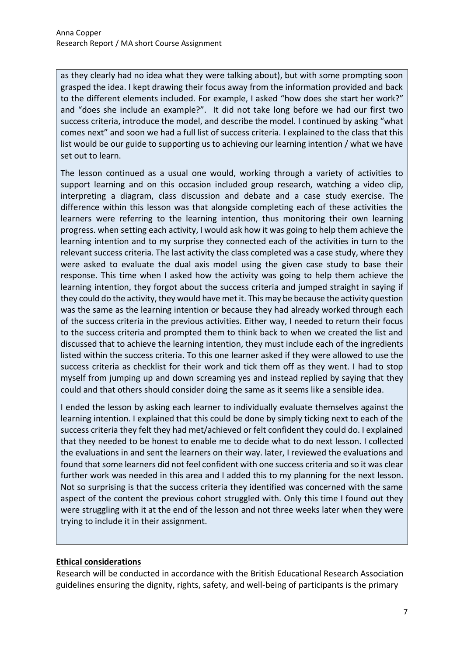as they clearly had no idea what they were talking about), but with some prompting soon grasped the idea. I kept drawing their focus away from the information provided and back to the different elements included. For example, I asked "how does she start her work?" and "does she include an example?". It did not take long before we had our first two success criteria, introduce the model, and describe the model. I continued by asking "what comes next" and soon we had a full list of success criteria. I explained to the class that this list would be our guide to supporting us to achieving our learning intention / what we have set out to learn.

The lesson continued as a usual one would, working through a variety of activities to support learning and on this occasion included group research, watching a video clip, interpreting a diagram, class discussion and debate and a case study exercise. The difference within this lesson was that alongside completing each of these activities the learners were referring to the learning intention, thus monitoring their own learning progress. when setting each activity, I would ask how it was going to help them achieve the learning intention and to my surprise they connected each of the activities in turn to the relevant success criteria. The last activity the class completed was a case study, where they were asked to evaluate the dual axis model using the given case study to base their response. This time when I asked how the activity was going to help them achieve the learning intention, they forgot about the success criteria and jumped straight in saying if they could do the activity, they would have met it. This may be because the activity question was the same as the learning intention or because they had already worked through each of the success criteria in the previous activities. Either way, I needed to return their focus to the success criteria and prompted them to think back to when we created the list and discussed that to achieve the learning intention, they must include each of the ingredients listed within the success criteria. To this one learner asked if they were allowed to use the success criteria as checklist for their work and tick them off as they went. I had to stop myself from jumping up and down screaming yes and instead replied by saying that they could and that others should consider doing the same as it seems like a sensible idea.

I ended the lesson by asking each learner to individually evaluate themselves against the learning intention. I explained that this could be done by simply ticking next to each of the success criteria they felt they had met/achieved or felt confident they could do. I explained that they needed to be honest to enable me to decide what to do next lesson. I collected the evaluations in and sent the learners on their way. later, I reviewed the evaluations and found that some learners did not feel confident with one success criteria and so it was clear further work was needed in this area and I added this to my planning for the next lesson. Not so surprising is that the success criteria they identified was concerned with the same aspect of the content the previous cohort struggled with. Only this time I found out they were struggling with it at the end of the lesson and not three weeks later when they were trying to include it in their assignment.

# **Ethical considerations**

Research will be conducted in accordance with the British Educational Research Association guidelines ensuring the dignity, rights, safety, and well-being of participants is the primary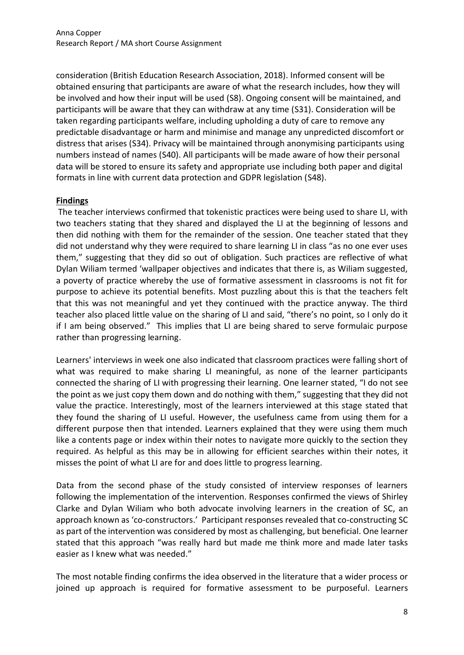consideration (British Education Research Association, 2018). Informed consent will be obtained ensuring that participants are aware of what the research includes, how they will be involved and how their input will be used (S8). Ongoing consent will be maintained, and participants will be aware that they can withdraw at any time (S31). Consideration will be taken regarding participants welfare, including upholding a duty of care to remove any predictable disadvantage or harm and minimise and manage any unpredicted discomfort or distress that arises (S34). Privacy will be maintained through anonymising participants using numbers instead of names (S40). All participants will be made aware of how their personal data will be stored to ensure its safety and appropriate use including both paper and digital formats in line with current data protection and GDPR legislation (S48).

# **Findings**

The teacher interviews confirmed that tokenistic practices were being used to share LI, with two teachers stating that they shared and displayed the LI at the beginning of lessons and then did nothing with them for the remainder of the session. One teacher stated that they did not understand why they were required to share learning LI in class "as no one ever uses them," suggesting that they did so out of obligation. Such practices are reflective of what Dylan Wiliam termed 'wallpaper objectives and indicates that there is, as Wiliam suggested, a poverty of practice whereby the use of formative assessment in classrooms is not fit for purpose to achieve its potential benefits. Most puzzling about this is that the teachers felt that this was not meaningful and yet they continued with the practice anyway. The third teacher also placed little value on the sharing of LI and said, "there's no point, so I only do it if I am being observed." This implies that LI are being shared to serve formulaic purpose rather than progressing learning.

Learners' interviews in week one also indicated that classroom practices were falling short of what was required to make sharing LI meaningful, as none of the learner participants connected the sharing of LI with progressing their learning. One learner stated, "I do not see the point as we just copy them down and do nothing with them," suggesting that they did not value the practice. Interestingly, most of the learners interviewed at this stage stated that they found the sharing of LI useful. However, the usefulness came from using them for a different purpose then that intended. Learners explained that they were using them much like a contents page or index within their notes to navigate more quickly to the section they required. As helpful as this may be in allowing for efficient searches within their notes, it misses the point of what LI are for and does little to progress learning.

Data from the second phase of the study consisted of interview responses of learners following the implementation of the intervention. Responses confirmed the views of Shirley Clarke and Dylan Wiliam who both advocate involving learners in the creation of SC, an approach known as 'co-constructors.' Participant responses revealed that co-constructing SC as part of the intervention was considered by most as challenging, but beneficial. One learner stated that this approach "was really hard but made me think more and made later tasks easier as I knew what was needed."

The most notable finding confirms the idea observed in the literature that a wider process or joined up approach is required for formative assessment to be purposeful. Learners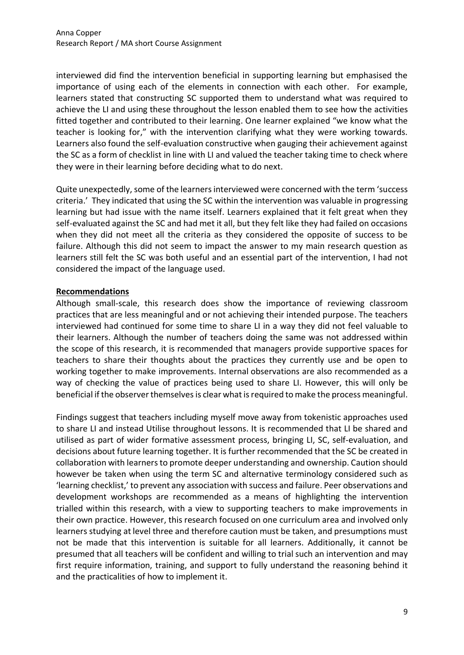interviewed did find the intervention beneficial in supporting learning but emphasised the importance of using each of the elements in connection with each other. For example, learners stated that constructing SC supported them to understand what was required to achieve the LI and using these throughout the lesson enabled them to see how the activities fitted together and contributed to their learning. One learner explained "we know what the teacher is looking for," with the intervention clarifying what they were working towards. Learners also found the self-evaluation constructive when gauging their achievement against the SC as a form of checklist in line with LI and valued the teacher taking time to check where they were in their learning before deciding what to do next.

Quite unexpectedly, some of the learners interviewed were concerned with the term 'success criteria.' They indicated that using the SC within the intervention was valuable in progressing learning but had issue with the name itself. Learners explained that it felt great when they self-evaluated against the SC and had met it all, but they felt like they had failed on occasions when they did not meet all the criteria as they considered the opposite of success to be failure. Although this did not seem to impact the answer to my main research question as learners still felt the SC was both useful and an essential part of the intervention, I had not considered the impact of the language used.

#### **Recommendations**

Although small-scale, this research does show the importance of reviewing classroom practices that are less meaningful and or not achieving their intended purpose. The teachers interviewed had continued for some time to share LI in a way they did not feel valuable to their learners. Although the number of teachers doing the same was not addressed within the scope of this research, it is recommended that managers provide supportive spaces for teachers to share their thoughts about the practices they currently use and be open to working together to make improvements. Internal observations are also recommended as a way of checking the value of practices being used to share LI. However, this will only be beneficial if the observer themselves is clear what is required to make the process meaningful.

Findings suggest that teachers including myself move away from tokenistic approaches used to share LI and instead Utilise throughout lessons. It is recommended that LI be shared and utilised as part of wider formative assessment process, bringing LI, SC, self-evaluation, and decisions about future learning together. It is further recommended that the SC be created in collaboration with learners to promote deeper understanding and ownership. Caution should however be taken when using the term SC and alternative terminology considered such as 'learning checklist,' to prevent any association with success and failure. Peer observations and development workshops are recommended as a means of highlighting the intervention trialled within this research, with a view to supporting teachers to make improvements in their own practice. However, this research focused on one curriculum area and involved only learners studying at level three and therefore caution must be taken, and presumptions must not be made that this intervention is suitable for all learners. Additionally, it cannot be presumed that all teachers will be confident and willing to trial such an intervention and may first require information, training, and support to fully understand the reasoning behind it and the practicalities of how to implement it.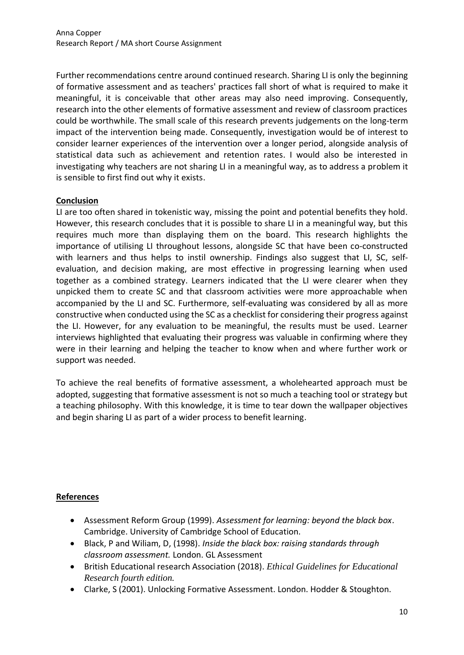Further recommendations centre around continued research. Sharing LI is only the beginning of formative assessment and as teachers' practices fall short of what is required to make it meaningful, it is conceivable that other areas may also need improving. Consequently, research into the other elements of formative assessment and review of classroom practices could be worthwhile. The small scale of this research prevents judgements on the long-term impact of the intervention being made. Consequently, investigation would be of interest to consider learner experiences of the intervention over a longer period, alongside analysis of statistical data such as achievement and retention rates. I would also be interested in investigating why teachers are not sharing LI in a meaningful way, as to address a problem it is sensible to first find out why it exists.

#### **Conclusion**

LI are too often shared in tokenistic way, missing the point and potential benefits they hold. However, this research concludes that it is possible to share LI in a meaningful way, but this requires much more than displaying them on the board. This research highlights the importance of utilising LI throughout lessons, alongside SC that have been co-constructed with learners and thus helps to instil ownership. Findings also suggest that LI, SC, selfevaluation, and decision making, are most effective in progressing learning when used together as a combined strategy. Learners indicated that the LI were clearer when they unpicked them to create SC and that classroom activities were more approachable when accompanied by the LI and SC. Furthermore, self-evaluating was considered by all as more constructive when conducted using the SC as a checklist for considering their progress against the LI. However, for any evaluation to be meaningful, the results must be used. Learner interviews highlighted that evaluating their progress was valuable in confirming where they were in their learning and helping the teacher to know when and where further work or support was needed.

To achieve the real benefits of formative assessment, a wholehearted approach must be adopted, suggesting that formative assessment is not so much a teaching tool or strategy but a teaching philosophy. With this knowledge, it is time to tear down the wallpaper objectives and begin sharing LI as part of a wider process to benefit learning.

# **References**

- Assessment Reform Group (1999). *Assessment for learning: beyond the black box*. Cambridge. University of Cambridge School of Education.
- Black, P and Wiliam, D, (1998). *Inside the black box: raising standards through classroom assessment.* London. GL Assessment
- British Educational research Association (2018). *Ethical Guidelines for Educational Research fourth edition.*
- Clarke, S (2001). Unlocking Formative Assessment. London. Hodder & Stoughton.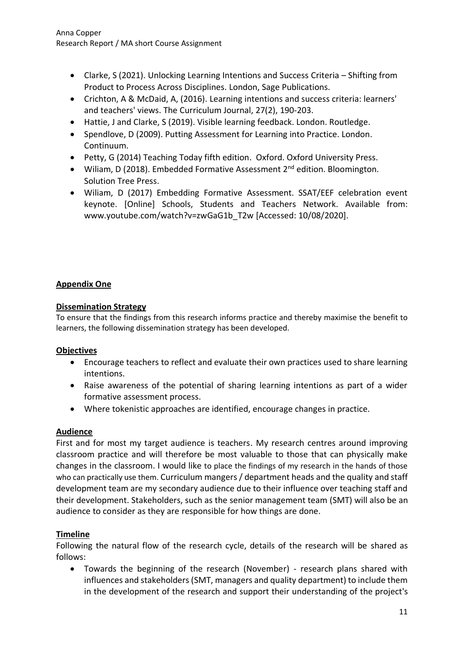- Clarke, S (2021). Unlocking Learning Intentions and Success Criteria Shifting from Product to Process Across Disciplines. London, Sage Publications.
- Crichton, A & McDaid, A, (2016). Learning intentions and success criteria: learners' and teachers' views. The Curriculum Journal, 27(2), 190-203.
- Hattie, J and Clarke, S (2019). Visible learning feedback. London. Routledge.
- Spendlove, D (2009). Putting Assessment for Learning into Practice. London. Continuum.
- Petty, G (2014) Teaching Today fifth edition. Oxford. Oxford University Press.
- Wiliam, D (2018). Embedded Formative Assessment  $2^{nd}$  edition. Bloomington. Solution Tree Press.
- Wiliam, D (2017) Embedding Formative Assessment. SSAT/EEF celebration event keynote. [Online] Schools, Students and Teachers Network. Available from: [www.youtube.com/watch?v=zwGaG1b\\_T2w](http://www.youtube.com/watch?v=zwGaG1b_T2w) [Accessed: 10/08/2020].

# **Appendix One**

# **Dissemination Strategy**

To ensure that the findings from this research informs practice and thereby maximise the benefit to learners, the following dissemination strategy has been developed.

# **Objectives**

- Encourage teachers to reflect and evaluate their own practices used to share learning intentions.
- Raise awareness of the potential of sharing learning intentions as part of a wider formative assessment process.
- Where tokenistic approaches are identified, encourage changes in practice.

# **Audience**

First and for most my target audience is teachers. My research centres around improving classroom practice and will therefore be most valuable to those that can physically make changes in the classroom. I would like to place the findings of my research in the hands of those who can practically use them. Curriculum mangers / department heads and the quality and staff development team are my secondary audience due to their influence over teaching staff and their development. Stakeholders, such as the senior management team (SMT) will also be an audience to consider as they are responsible for how things are done.

# **Timeline**

Following the natural flow of the research cycle, details of the research will be shared as follows:

• Towards the beginning of the research (November) - research plans shared with influences and stakeholders (SMT, managers and quality department) to include them in the development of the research and support their understanding of the project's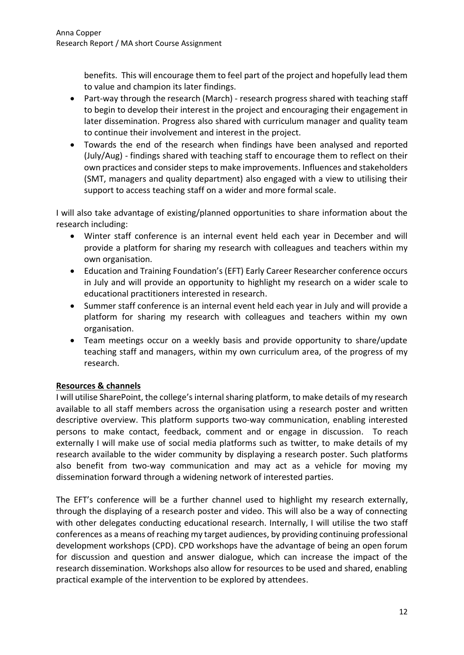benefits. This will encourage them to feel part of the project and hopefully lead them to value and champion its later findings.

- Part-way through the research (March) research progress shared with teaching staff to begin to develop their interest in the project and encouraging their engagement in later dissemination. Progress also shared with curriculum manager and quality team to continue their involvement and interest in the project.
- Towards the end of the research when findings have been analysed and reported (July/Aug) - findings shared with teaching staff to encourage them to reflect on their own practices and consider steps to make improvements. Influences and stakeholders (SMT, managers and quality department) also engaged with a view to utilising their support to access teaching staff on a wider and more formal scale.

I will also take advantage of existing/planned opportunities to share information about the research including:

- Winter staff conference is an internal event held each year in December and will provide a platform for sharing my research with colleagues and teachers within my own organisation.
- Education and Training Foundation's (EFT) Early Career Researcher conference occurs in July and will provide an opportunity to highlight my research on a wider scale to educational practitioners interested in research.
- Summer staff conference is an internal event held each year in July and will provide a platform for sharing my research with colleagues and teachers within my own organisation.
- Team meetings occur on a weekly basis and provide opportunity to share/update teaching staff and managers, within my own curriculum area, of the progress of my research.

# **Resources & channels**

I will utilise SharePoint, the college's internal sharing platform, to make details of my research available to all staff members across the organisation using a research poster and written descriptive overview. This platform supports two-way communication, enabling interested persons to make contact, feedback, comment and or engage in discussion. To reach externally I will make use of social media platforms such as twitter, to make details of my research available to the wider community by displaying a research poster. Such platforms also benefit from two-way communication and may act as a vehicle for moving my dissemination forward through a widening network of interested parties.

The EFT's conference will be a further channel used to highlight my research externally, through the displaying of a research poster and video. This will also be a way of connecting with other delegates conducting educational research. Internally, I will utilise the two staff conferences as a means of reaching my target audiences, by providing continuing professional development workshops (CPD). CPD workshops have the advantage of being an open forum for discussion and question and answer dialogue, which can increase the impact of the research dissemination. Workshops also allow for resources to be used and shared, enabling practical example of the intervention to be explored by attendees.